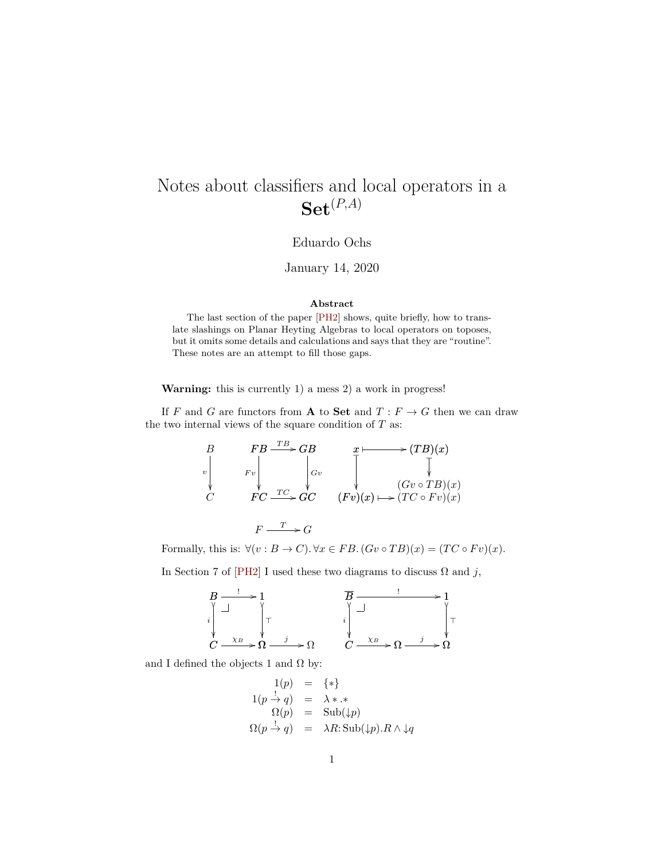# Notes about classifiers and local operators in a  $\mathbf{Set}^{(P,A)}$

### Eduardo Ochs

January 14, 2020

#### **Abstract**

The last section of the paper [\[PH2\]](#page-3-0) shows, quite briefly, how to translate slashings on Planar Heyting Algebras to local operators on toposes, but it omits some details and calculations and says that they are "routine". These notes are an attempt to fill those gaps.

**Warning:** this is currently 1) a mess 2) a work in progress!

If F and G are functors from A to Set and  $T : F \to G$  then we can draw the two internal views of the square condition of  $T$  as:

$$
\begin{array}{ccc}\nB & FB \xrightarrow{TB} & GB \\
\downarrow & F_v \\
C & FC \xrightarrow{TC} & GC \\
\end{array}\n\begin{array}{ccc}\nx & \longleftarrow & (TB)(x) \\
\downarrow & \searrow & \searrow & (Gv \circ TB)(x) \\
\downarrow & \searrow & (Gv \circ TB)(x) \\
\downarrow & (Gv \circ TB)(x) \\
\downarrow & (TC \circ Fv)(x)\n\end{array}
$$

 $F \xrightarrow{T} G$ 

Formally, this is:  $\forall (v : B \to C)$ .  $\forall x \in FB$ .  $(Gv \circ TB)(x) = (TC \circ Fv)(x)$ .

In Section 7 of [\[PH2\]](#page-3-0) I used these two diagrams to discuss  $\Omega$  and j,



and I defined the objects 1 and  $\Omega$  by:

$$
1(p) = {*}
$$
  
\n
$$
1(p \stackrel{!}{\rightarrow} q) = \lambda * .*
$$
  
\n
$$
\Omega(p) = \text{Sub}(\downarrow p)
$$
  
\n
$$
\Omega(p \stackrel{!}{\rightarrow} q) = \lambda R : \text{Sub}(\downarrow p).R \wedge \downarrow q
$$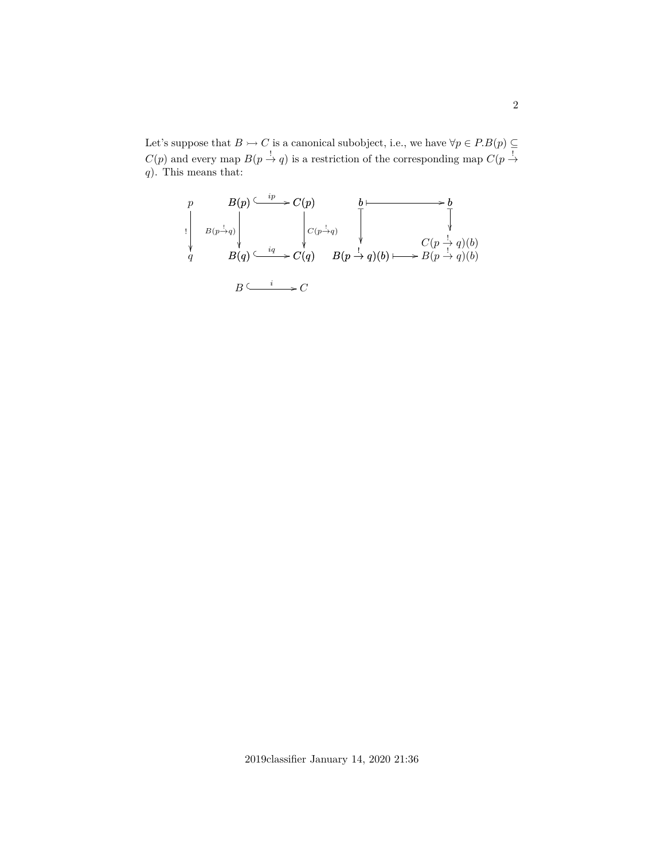Let's suppose that  $B \rightarrowtail C$  is a canonical subobject, i.e., we have  $\forall p \in P.B(p) \subseteq$  $C(p)$  and every map  $B(p \stackrel{!}{\rightarrow} q)$  is a restriction of the corresponding map  $C(p \stackrel{!}{\rightarrow} q)$  $q$ ). This means that:

$$
\begin{array}{ccc}\np & B(p) \stackrel{ip}{\longleftarrow} C(p) & b \stackrel{b}{\longleftarrow} & b \\
\downarrow & & \downarrow & & \downarrow & & \downarrow \\
B(p \rightarrow q) & & \downarrow & & \downarrow & & \downarrow \\
B(q) \stackrel{iq}{\longleftarrow} & & C(q) & B(p \stackrel{1}{\rightarrow} q)(b) \stackrel{p}{\longleftarrow} & C(p \stackrel{1}{\rightarrow} q)(b) \\
B \stackrel{i}{\longleftarrow} & & C(q) & \downarrow & & \downarrow \\
B \stackrel{i}{\longleftarrow} & & & & \downarrow & & \downarrow \\
B \stackrel{i}{\longleftarrow} & & & & & \downarrow & & \downarrow \\
B \stackrel{i}{\longleftarrow} & & & & & & \downarrow & & \downarrow \\
B \stackrel{i}{\longleftarrow} & & & & & & & \downarrow & & \downarrow \\
B \stackrel{i}{\longleftarrow} & & & & & & & & \downarrow & & \downarrow \\
B \stackrel{i}{\longleftarrow} & & & & & & & & & \downarrow & & \downarrow \\
B \stackrel{i}{\longleftarrow} & & & & & & & & & \downarrow & & \downarrow \\
B \stackrel{i}{\longleftarrow} & & & & & & & & & \downarrow & & \downarrow \\
B \stackrel{i}{\longleftarrow} & & & & & & & & & & \downarrow & & \downarrow \\
B \stackrel{i}{\longleftarrow} & & & & & & & & & & \downarrow & & \downarrow \\
B \stackrel{i}{\longleftarrow} & & & & & & & & & & \downarrow & & \downarrow \\
B \stackrel{i}{\longleftarrow} & & & & & & & & & & \downarrow & & \downarrow \\
B \stackrel{i}{\longleftarrow} & & & & & & & & & & \downarrow & & \downarrow \\
B \stackrel{i}{\longleftarrow} & & & & & & & & & & \downarrow & & \downarrow \\
B \stackrel{i}{\longleftarrow} & & & & & & & & & & \downarrow & & \downarrow \\
B \stackrel{i}{\longleftarrow} & & & & & & & & & & \downarrow & & \downarrow \\
B \stackrel{i}{\longleftarrow} & & & & & & & & & & \downarrow & & \downarrow \\
B \stackrel{i}{\longleftarrow} & & & & & & & & & & \downarrow & & \downarrow \\
B \stackrel{i}{\longleftarrow} & & & & & & & & & & \downarrow & & \downarrow \\
B \stackrel{i}{\longleftarrow} & & & & & & & & & & \downarrow & & \downarrow \\
B \stackrel{i}{\longleftarrow}
$$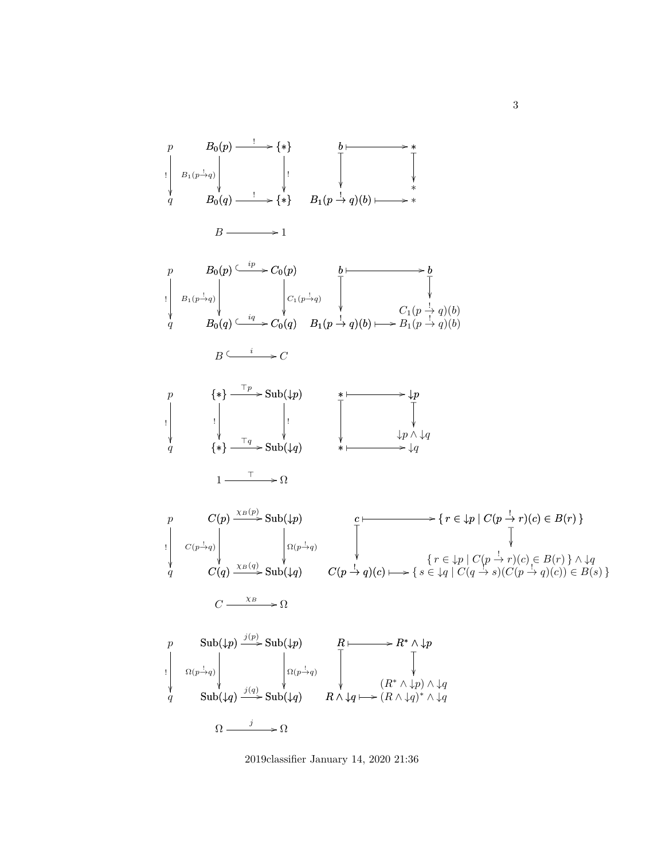

2019classifier January 14, 2020 21:36